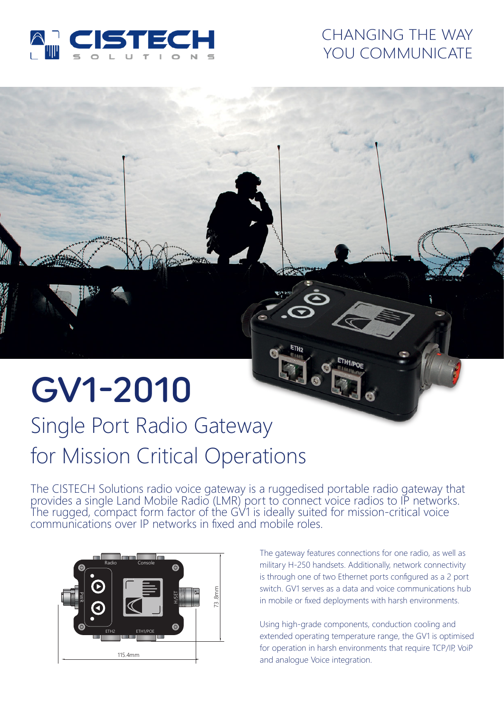

## CHANGING THE WAY YOU COMMUNICATE

# GV1-2010

# Single Port Radio Gateway for Mission Critical Operations

The CISTECH Solutions radio voice gateway is a ruggedised portable radio gateway that provides a single Land Mobile Radio (LMR) port to connect voice radios to IP networks. The rugged, compact form factor of the GV1 is ideally suited for mission-critical voice communications over IP networks in fixed and mobile roles.



The gateway features connections for one radio, as well as military H-250 handsets. Additionally, network connectivity is through one of two Ethernet ports configured as a 2 port switch. GV1 serves as a data and voice communications hub in mobile or fixed deployments with harsh environments.

Using high-grade components, conduction cooling and extended operating temperature range, the GV1 is optimised for operation in harsh environments that require TCP/IP, VoiP and analogue Voice integration.